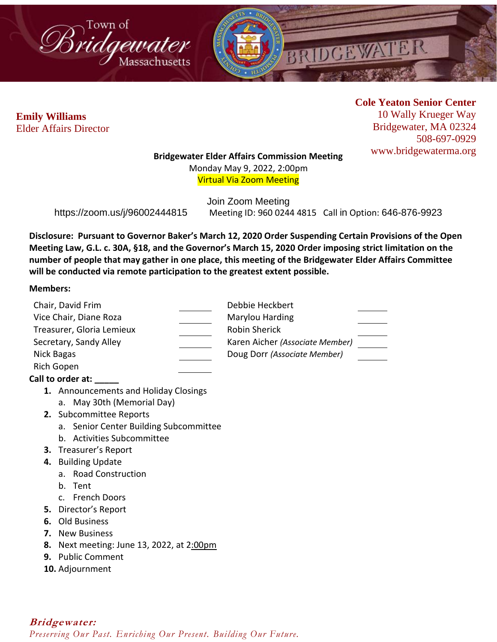



**Cole Yeaton Senior Center** 10 Wally Krueger Way Bridgewater, MA 02324 508-697-0929 www.bridgewaterma.org

## **Bridgewater Elder Affairs Commission Meeting**

Monday May 9, 2022, 2:00pm Virtual Via Zoom Meeting

Join Zoom Meeting https://zoom.us/j/96002444815 Meeting ID: 960 0244 4815 Call in Option: 646-876-9923

**Disclosure: Pursuant to Governor Baker's March 12, 2020 Order Suspending Certain Provisions of the Open Meeting Law, G.L. c. 30A, §18, and the Governor's March 15, 2020 Order imposing strict limitation on the number of people that may gather in one place, this meeting of the Bridgewater Elder Affairs Committee will be conducted via remote participation to the greatest extent possible.** 

## **Members:**

| Chair, David Frim         |                                        | Debbie Heckbert                 |
|---------------------------|----------------------------------------|---------------------------------|
| Vice Chair, Diane Roza    |                                        | Marylou Harding                 |
| Treasurer, Gloria Lemieux |                                        | <b>Robin Sherick</b>            |
| Secretary, Sandy Alley    |                                        | Karen Aicher (Associate Member) |
| Nick Bagas                |                                        | Doug Dorr (Associate Member)    |
| <b>Rich Gopen</b>         |                                        |                                 |
| Call to order at:         |                                        |                                 |
|                           | 1. Announcements and Holiday Closings  |                                 |
|                           | a. May 30th (Memorial Day)             |                                 |
|                           | 2. Subcommittee Reports                |                                 |
|                           | a. Senior Center Building Subcommittee |                                 |
|                           | b. Activities Subcommittee             |                                 |
|                           | <b>3.</b> Treasurer's Report           |                                 |
|                           | 4. Building Update                     |                                 |
|                           | a. Road Construction                   |                                 |
|                           | b. Tent                                |                                 |
|                           | c. French Doors                        |                                 |
| 5.                        | Director's Report                      |                                 |
| 6.                        | Old Business                           |                                 |
| 7.                        | <b>New Business</b>                    |                                 |
| 8.                        | Next meeting: June 13, 2022, at 2:00pm |                                 |
| 9.                        | <b>Public Comment</b>                  |                                 |
|                           | 10. Adjournment                        |                                 |
|                           |                                        |                                 |

**Bridgewater:** *Preserving Our Past. Enriching Our Present. Building Our Future.*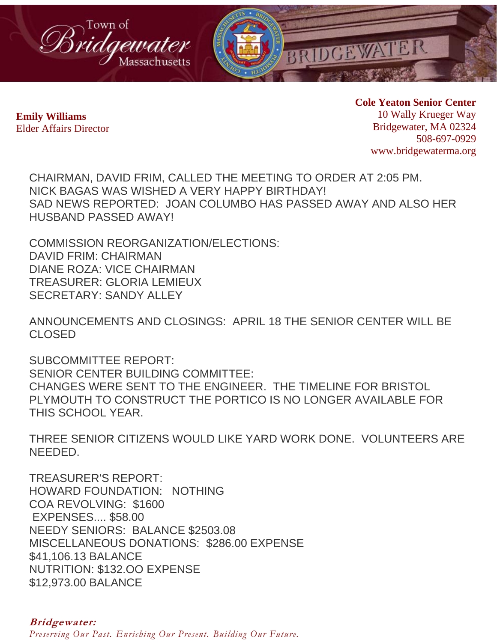

**Cole Yeaton Senior Center** 10 Wally Krueger Way Bridgewater, MA 02324 508-697-0929 www.bridgewaterma.org

CHAIRMAN, DAVID FRIM, CALLED THE MEETING TO ORDER AT 2:05 PM. NICK BAGAS WAS WISHED A VERY HAPPY BIRTHDAY! SAD NEWS REPORTED: JOAN COLUMBO HAS PASSED AWAY AND ALSO HER HUSBAND PASSED AWAY!

COMMISSION REORGANIZATION/ELECTIONS: DAVID FRIM: CHAIRMAN DIANE ROZA: VICE CHAIRMAN TREASURER: GLORIA LEMIEUX SECRETARY: SANDY ALLEY

ANNOUNCEMENTS AND CLOSINGS: APRIL 18 THE SENIOR CENTER WILL BE CLOSED

SUBCOMMITTEE REPORT: SENIOR CENTER BUILDING COMMITTEE: CHANGES WERE SENT TO THE ENGINEER. THE TIMELINE FOR BRISTOL PLYMOUTH TO CONSTRUCT THE PORTICO IS NO LONGER AVAILABLE FOR THIS SCHOOL YEAR.

THREE SENIOR CITIZENS WOULD LIKE YARD WORK DONE. VOLUNTEERS ARE NEEDED.

TREASURER'S REPORT: HOWARD FOUNDATION: NOTHING COA REVOLVING: \$1600 EXPENSES.... \$58.00 NEEDY SENIORS: BALANCE \$2503.08 MISCELLANEOUS DONATIONS: \$286.00 EXPENSE \$41,106.13 BALANCE NUTRITION: \$132.OO EXPENSE \$12,973.00 BALANCE

**Bridgewater:**

*Preserving Our Past. Enriching Our Present. Building Our Future.*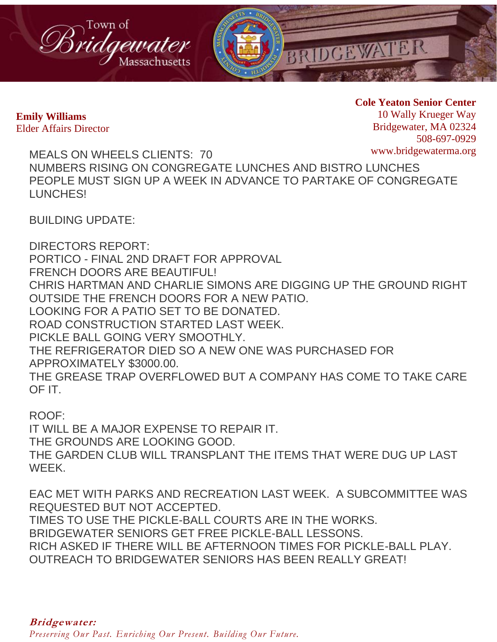

**Cole Yeaton Senior Center** 10 Wally Krueger Way Bridgewater, MA 02324 508-697-0929 www.bridgewaterma.org

MEALS ON WHEELS CLIENTS: 70 NUMBERS RISING ON CONGREGATE LUNCHES AND BISTRO LUNCHES PEOPLE MUST SIGN UP A WEEK IN ADVANCE TO PARTAKE OF CONGREGATE LUNCHES!

BUILDING UPDATE:

DIRECTORS REPORT: PORTICO - FINAL 2ND DRAFT FOR APPROVAL FRENCH DOORS ARE BEAUTIFUL! CHRIS HARTMAN AND CHARLIE SIMONS ARE DIGGING UP THE GROUND RIGHT OUTSIDE THE FRENCH DOORS FOR A NEW PATIO. LOOKING FOR A PATIO SET TO BE DONATED. ROAD CONSTRUCTION STARTED LAST WEEK. PICKLE BALL GOING VERY SMOOTHLY. THE REFRIGERATOR DIED SO A NEW ONE WAS PURCHASED FOR APPROXIMATELY \$3000.00. THE GREASE TRAP OVERFLOWED BUT A COMPANY HAS COME TO TAKE CARE OF IT.

ROOF:

IT WILL BE A MAJOR EXPENSE TO REPAIR IT. THE GROUNDS ARE LOOKING GOOD. THE GARDEN CLUB WILL TRANSPLANT THE ITEMS THAT WERE DUG UP LAST WEEK.

EAC MET WITH PARKS AND RECREATION LAST WEEK. A SUBCOMMITTEE WAS REQUESTED BUT NOT ACCEPTED. TIMES TO USE THE PICKLE-BALL COURTS ARE IN THE WORKS. BRIDGEWATER SENIORS GET FREE PICKLE-BALL LESSONS. RICH ASKED IF THERE WILL BE AFTERNOON TIMES FOR PICKLE-BALL PLAY. OUTREACH TO BRIDGEWATER SENIORS HAS BEEN REALLY GREAT!

*Preserving Our Past. Enriching Our Present. Building Our Future.*